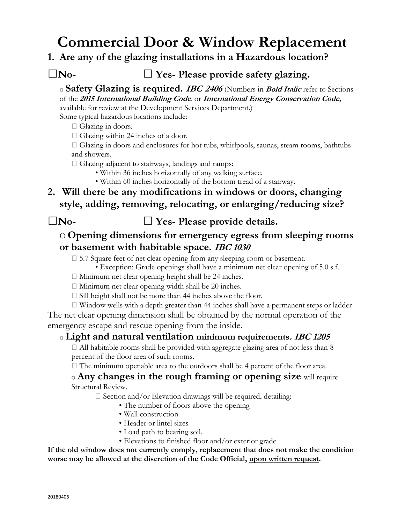# **Commercial Door & Window Replacement**

### **1. Are any of the glazing installations in a Hazardous location?**

## **□No- □ Yes- Please provide safety glazing.**

o **Safety Glazing is required. IBC <sup>2406</sup>**(Numbers in **Bold Italic** refer to Sections of the **<sup>2015</sup> International Building Code**, or **International Energy Conservation Code,**

available for review at the Development Services Department.)

Some typical hazardous locations include:

 $\Box$  Glazing in doors.

 $\Box$  Glazing within 24 inches of a door.

 Glazing in doors and enclosures for hot tubs, whirlpools, saunas, steam rooms, bathtubs and showers.

 $\Box$  Glazing adjacent to stairways, landings and ramps:

- Within 36 inches horizontally of any walking surface.
- Within 60 inches horizontally of the bottom tread of a stairway.
- **2. Will there be any modifications in windows or doors, changing style, adding, removing, relocating, or enlarging/reducing size?**

**□No- □ Yes- Please provide details.**

## O **Opening dimensions for emergency egress from sleeping rooms or basement with habitable space. IBC 1030**

□ 5.7 Square feet of net clear opening from any sleeping room or basement.

• Exception: Grade openings shall have a minimum net clear opening of 5.0 s.f.

- $\Box$  Minimum net clear opening height shall be 24 inches.
- $\Box$  Minimum net clear opening width shall be 20 inches.
- $\square$  Sill height shall not be more than 44 inches above the floor.

 Window wells with a depth greater than 44 inches shall have a permanent steps or ladder The net clear opening dimension shall be obtained by the normal operation of the emergency escape and rescue opening from the inside.

#### o **Light and natural ventilation minimum requirements. IBC <sup>1205</sup>**

 $\Box$  All habitable rooms shall be provided with aggregate glazing area of not less than 8 percent of the floor area of such rooms.

 $\Box$  The minimum openable area to the outdoors shall be 4 percent of the floor area.

#### o **Any changes in the rough framing or opening size** will require Structural Review.

 $\square$  Section and/or Elevation drawings will be required, detailing:

- The number of floors above the opening
- Wall construction
- Header or lintel sizes
- Load path to bearing soil.
- Elevations to finished floor and/or exterior grade

**If the old window does not currently comply, replacement that does not make the condition worse may be allowed at the discretion of the Code Official, upon written request.**